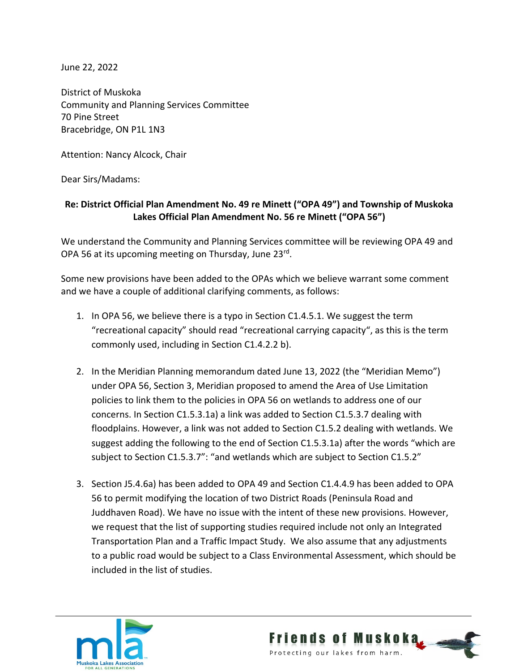June 22, 2022

District of Muskoka Community and Planning Services Committee 70 Pine Street Bracebridge, ON P1L 1N3

Attention: Nancy Alcock, Chair

Dear Sirs/Madams:

## **Re: District Official Plan Amendment No. 49 re Minett ("OPA 49") and Township of Muskoka Lakes Official Plan Amendment No. 56 re Minett ("OPA 56")**

We understand the Community and Planning Services committee will be reviewing OPA 49 and OPA 56 at its upcoming meeting on Thursday, June 23rd.

Some new provisions have been added to the OPAs which we believe warrant some comment and we have a couple of additional clarifying comments, as follows:

- 1. In OPA 56, we believe there is a typo in Section C1.4.5.1. We suggest the term "recreational capacity" should read "recreational carrying capacity", as this is the term commonly used, including in Section C1.4.2.2 b).
- 2. In the Meridian Planning memorandum dated June 13, 2022 (the "Meridian Memo") under OPA 56, Section 3, Meridian proposed to amend the Area of Use Limitation policies to link them to the policies in OPA 56 on wetlands to address one of our concerns. In Section C1.5.3.1a) a link was added to Section C1.5.3.7 dealing with floodplains. However, a link was not added to Section C1.5.2 dealing with wetlands. We suggest adding the following to the end of Section C1.5.3.1a) after the words "which are subject to Section C1.5.3.7": "and wetlands which are subject to Section C1.5.2"
- 3. Section J5.4.6a) has been added to OPA 49 and Section C1.4.4.9 has been added to OPA 56 to permit modifying the location of two District Roads (Peninsula Road and Juddhaven Road). We have no issue with the intent of these new provisions. However, we request that the list of supporting studies required include not only an Integrated Transportation Plan and a Traffic Impact Study. We also assume that any adjustments to a public road would be subject to a Class Environmental Assessment, which should be included in the list of studies.



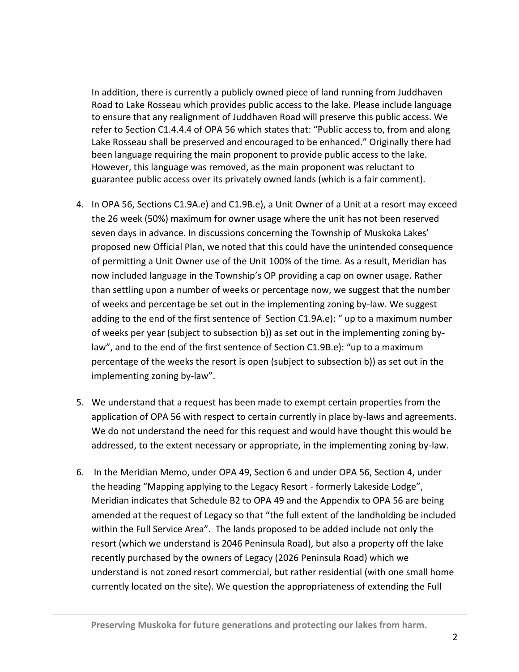In addition, there is currently a publicly owned piece of land running from Juddhaven Road to Lake Rosseau which provides public access to the lake. Please include language to ensure that any realignment of Juddhaven Road will preserve this public access. We refer to Section C1.4.4.4 of OPA 56 which states that: "Public access to, from and along Lake Rosseau shall be preserved and encouraged to be enhanced." Originally there had been language requiring the main proponent to provide public access to the lake. However, this language was removed, as the main proponent was reluctant to guarantee public access over its privately owned lands (which is a fair comment).

- 4. In OPA 56, Sections C1.9A.e) and C1.9B.e), a Unit Owner of a Unit at a resort may exceed the 26 week (50%) maximum for owner usage where the unit has not been reserved seven days in advance. In discussions concerning the Township of Muskoka Lakes' proposed new Official Plan, we noted that this could have the unintended consequence of permitting a Unit Owner use of the Unit 100% of the time. As a result, Meridian has now included language in the Township's OP providing a cap on owner usage. Rather than settling upon a number of weeks or percentage now, we suggest that the number of weeks and percentage be set out in the implementing zoning by-law. We suggest adding to the end of the first sentence of Section C1.9A.e): " up to a maximum number of weeks per year (subject to subsection b)) as set out in the implementing zoning bylaw", and to the end of the first sentence of Section C1.9B.e): "up to a maximum percentage of the weeks the resort is open (subject to subsection b)) as set out in the implementing zoning by-law".
- 5. We understand that a request has been made to exempt certain properties from the application of OPA 56 with respect to certain currently in place by-laws and agreements. We do not understand the need for this request and would have thought this would be addressed, to the extent necessary or appropriate, in the implementing zoning by-law.
- 6. In the Meridian Memo, under OPA 49, Section 6 and under OPA 56, Section 4, under the heading "Mapping applying to the Legacy Resort - formerly Lakeside Lodge", Meridian indicates that Schedule B2 to OPA 49 and the Appendix to OPA 56 are being amended at the request of Legacy so that "the full extent of the landholding be included within the Full Service Area". The lands proposed to be added include not only the resort (which we understand is 2046 Peninsula Road), but also a property off the lake recently purchased by the owners of Legacy (2026 Peninsula Road) which we understand is not zoned resort commercial, but rather residential (with one small home currently located on the site). We question the appropriateness of extending the Full